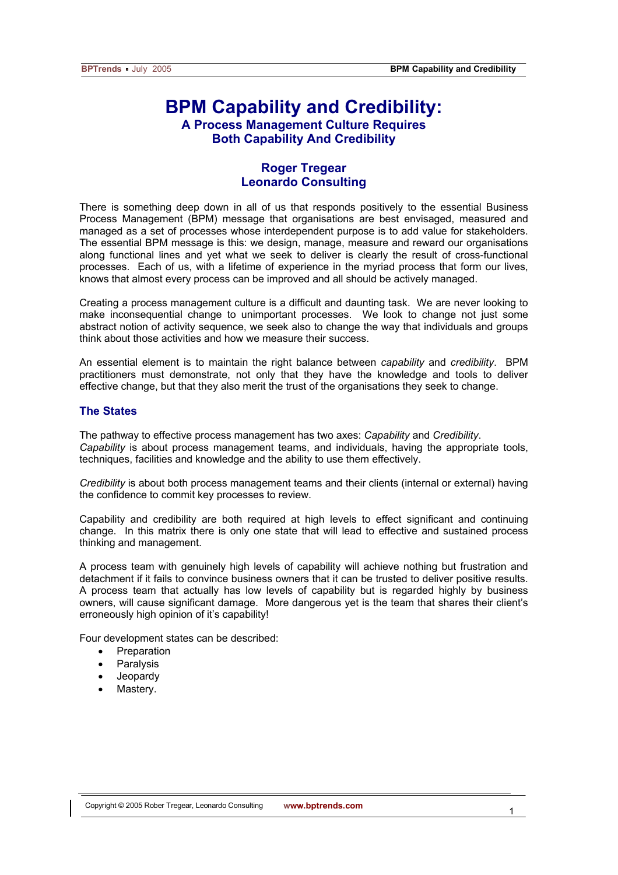# **BPM Capability and Credibility: A Process Management Culture Requires Both Capability And Credibility**

# **Roger Tregear Leonardo Consulting**

There is something deep down in all of us that responds positively to the essential Business Process Management (BPM) message that organisations are best envisaged, measured and managed as a set of processes whose interdependent purpose is to add value for stakeholders. The essential BPM message is this: we design, manage, measure and reward our organisations along functional lines and yet what we seek to deliver is clearly the result of cross-functional processes. Each of us, with a lifetime of experience in the myriad process that form our lives, knows that almost every process can be improved and all should be actively managed.

Creating a process management culture is a difficult and daunting task. We are never looking to make inconsequential change to unimportant processes. We look to change not just some abstract notion of activity sequence, we seek also to change the way that individuals and groups think about those activities and how we measure their success.

An essential element is to maintain the right balance between *capability* and *credibility*. BPM practitioners must demonstrate, not only that they have the knowledge and tools to deliver effective change, but that they also merit the trust of the organisations they seek to change.

#### **The States**

The pathway to effective process management has two axes: *Capability* and *Credibility*. *Capability* is about process management teams, and individuals, having the appropriate tools, techniques, facilities and knowledge and the ability to use them effectively.

*Credibility* is about both process management teams and their clients (internal or external) having the confidence to commit key processes to review.

Capability and credibility are both required at high levels to effect significant and continuing change. In this matrix there is only one state that will lead to effective and sustained process thinking and management.

A process team with genuinely high levels of capability will achieve nothing but frustration and detachment if it fails to convince business owners that it can be trusted to deliver positive results. A process team that actually has low levels of capability but is regarded highly by business owners, will cause significant damage. More dangerous yet is the team that shares their client's erroneously high opinion of it's capability!

Four development states can be described:

- **Preparation** 
	- **Paralysis**
	- **Jeopardy**
	- Mastery.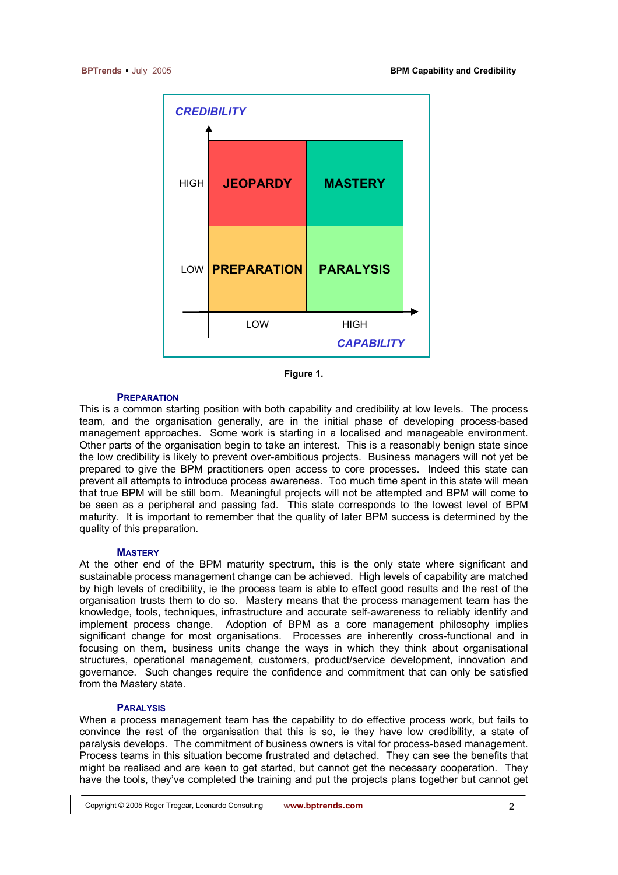

**Figure 1.** 

#### **PREPARATION**

This is a common starting position with both capability and credibility at low levels. The process team, and the organisation generally, are in the initial phase of developing process-based management approaches. Some work is starting in a localised and manageable environment. Other parts of the organisation begin to take an interest. This is a reasonably benign state since the low credibility is likely to prevent over-ambitious projects. Business managers will not yet be prepared to give the BPM practitioners open access to core processes. Indeed this state can prevent all attempts to introduce process awareness. Too much time spent in this state will mean that true BPM will be still born. Meaningful projects will not be attempted and BPM will come to be seen as a peripheral and passing fad. This state corresponds to the lowest level of BPM maturity. It is important to remember that the quality of later BPM success is determined by the quality of this preparation.

#### **MASTERY**

At the other end of the BPM maturity spectrum, this is the only state where significant and sustainable process management change can be achieved. High levels of capability are matched by high levels of credibility, ie the process team is able to effect good results and the rest of the organisation trusts them to do so. Mastery means that the process management team has the knowledge, tools, techniques, infrastructure and accurate self-awareness to reliably identify and implement process change. Adoption of BPM as a core management philosophy implies significant change for most organisations. Processes are inherently cross-functional and in focusing on them, business units change the ways in which they think about organisational structures, operational management, customers, product/service development, innovation and governance. Such changes require the confidence and commitment that can only be satisfied from the Mastery state.

#### **PARALYSIS**

When a process management team has the capability to do effective process work, but fails to convince the rest of the organisation that this is so, ie they have low credibility, a state of paralysis develops. The commitment of business owners is vital for process-based management. Process teams in this situation become frustrated and detached. They can see the benefits that might be realised and are keen to get started, but cannot get the necessary cooperation. They have the tools, they've completed the training and put the projects plans together but cannot get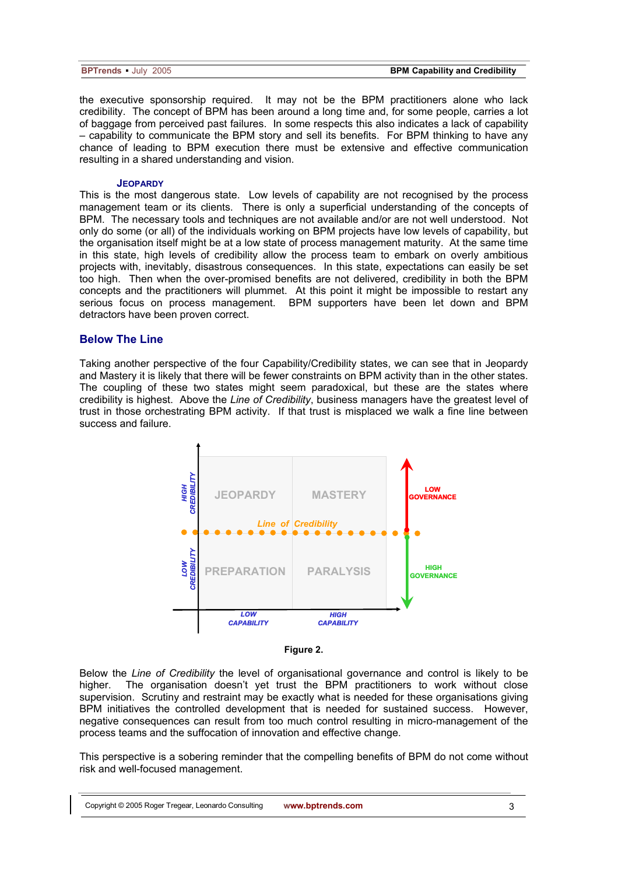| <b>BPTrends</b> July 2005 |  |  |
|---------------------------|--|--|
|---------------------------|--|--|

the executive sponsorship required. It may not be the BPM practitioners alone who lack credibility. The concept of BPM has been around a long time and, for some people, carries a lot of baggage from perceived past failures. In some respects this also indicates a lack of capability – capability to communicate the BPM story and sell its benefits. For BPM thinking to have any chance of leading to BPM execution there must be extensive and effective communication resulting in a shared understanding and vision.

#### **JEOPARDY**

This is the most dangerous state. Low levels of capability are not recognised by the process management team or its clients. There is only a superficial understanding of the concepts of BPM. The necessary tools and techniques are not available and/or are not well understood. Not only do some (or all) of the individuals working on BPM projects have low levels of capability, but the organisation itself might be at a low state of process management maturity. At the same time in this state, high levels of credibility allow the process team to embark on overly ambitious projects with, inevitably, disastrous consequences. In this state, expectations can easily be set too high. Then when the over-promised benefits are not delivered, credibility in both the BPM concepts and the practitioners will plummet. At this point it might be impossible to restart any serious focus on process management. BPM supporters have been let down and BPM detractors have been proven correct.

### **Below The Line**

Taking another perspective of the four Capability/Credibility states, we can see that in Jeopardy and Mastery it is likely that there will be fewer constraints on BPM activity than in the other states. The coupling of these two states might seem paradoxical, but these are the states where credibility is highest. Above the *Line of Credibility*, business managers have the greatest level of trust in those orchestrating BPM activity. If that trust is misplaced we walk a fine line between success and failure.



**Figure 2.** 

Below the *Line of Credibility* the level of organisational governance and control is likely to be higher. The organisation doesn't yet trust the BPM practitioners to work without close supervision. Scrutiny and restraint may be exactly what is needed for these organisations giving BPM initiatives the controlled development that is needed for sustained success. However, negative consequences can result from too much control resulting in micro-management of the process teams and the suffocation of innovation and effective change.

This perspective is a sobering reminder that the compelling benefits of BPM do not come without risk and well-focused management.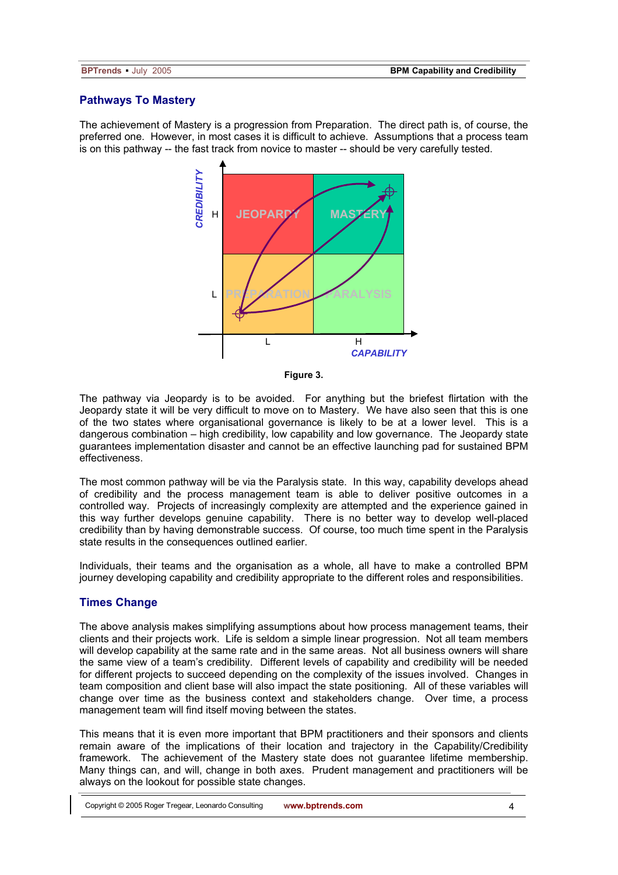# **Pathways To Mastery**

The achievement of Mastery is a progression from Preparation. The direct path is, of course, the preferred one. However, in most cases it is difficult to achieve. Assumptions that a process team is on this pathway -- the fast track from novice to master -- should be very carefully tested.



**Figure 3.** 

The pathway via Jeopardy is to be avoided. For anything but the briefest flirtation with the Jeopardy state it will be very difficult to move on to Mastery. We have also seen that this is one of the two states where organisational governance is likely to be at a lower level. This is a dangerous combination – high credibility, low capability and low governance. The Jeopardy state guarantees implementation disaster and cannot be an effective launching pad for sustained BPM effectiveness.

The most common pathway will be via the Paralysis state. In this way, capability develops ahead of credibility and the process management team is able to deliver positive outcomes in a controlled way. Projects of increasingly complexity are attempted and the experience gained in this way further develops genuine capability. There is no better way to develop well-placed credibility than by having demonstrable success. Of course, too much time spent in the Paralysis state results in the consequences outlined earlier.

Individuals, their teams and the organisation as a whole, all have to make a controlled BPM journey developing capability and credibility appropriate to the different roles and responsibilities.

# **Times Change**

The above analysis makes simplifying assumptions about how process management teams, their clients and their projects work. Life is seldom a simple linear progression. Not all team members will develop capability at the same rate and in the same areas. Not all business owners will share the same view of a team's credibility. Different levels of capability and credibility will be needed for different projects to succeed depending on the complexity of the issues involved. Changes in team composition and client base will also impact the state positioning. All of these variables will change over time as the business context and stakeholders change. Over time, a process management team will find itself moving between the states.

This means that it is even more important that BPM practitioners and their sponsors and clients remain aware of the implications of their location and trajectory in the Capability/Credibility framework. The achievement of the Mastery state does not guarantee lifetime membership. Many things can, and will, change in both axes. Prudent management and practitioners will be always on the lookout for possible state changes.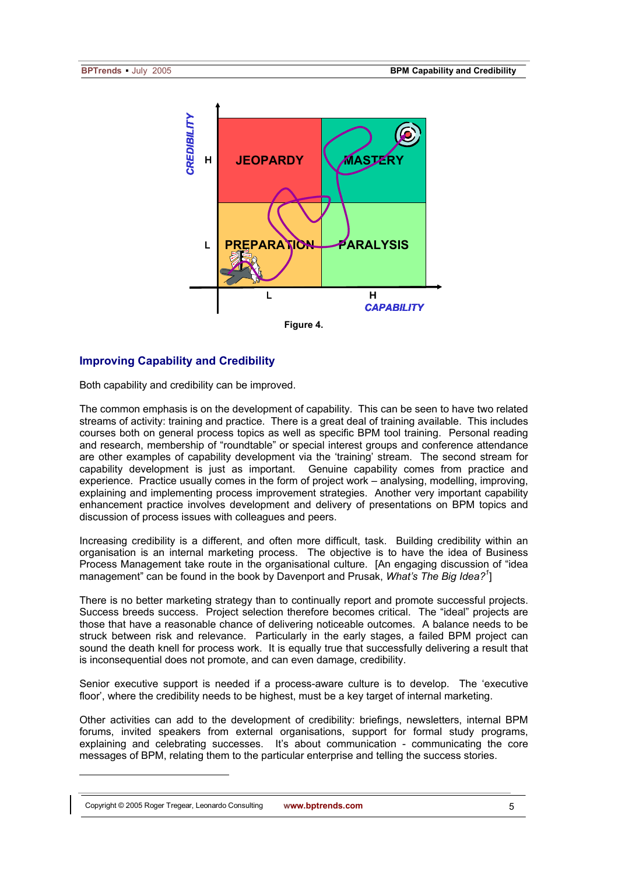

# **Improving Capability and Credibility**

Both capability and credibility can be improved.

The common emphasis is on the development of capability. This can be seen to have two related streams of activity: training and practice. There is a great deal of training available. This includes courses both on general process topics as well as specific BPM tool training. Personal reading and research, membership of "roundtable" or special interest groups and conference attendance are other examples of capability development via the 'training' stream. The second stream for capability development is just as important. Genuine capability comes from practice and experience. Practice usually comes in the form of project work – analysing, modelling, improving, explaining and implementing process improvement strategies. Another very important capability enhancement practice involves development and delivery of presentations on BPM topics and discussion of process issues with colleagues and peers.

Increasing credibility is a different, and often more difficult, task. Building credibility within an organisation is an internal marketing process. The objective is to have the idea of Business Process Management take route in the organisational culture. [An engaging discussion of "idea management" can be found in the book by Davenport and Prusak, What's The Big Idea?<sup>1</sup>]

There is no better marketing strategy than to continually report and promote successful projects. Success breeds success. Project selection therefore becomes critical. The "ideal" projects are those that have a reasonable chance of delivering noticeable outcomes. A balance needs to be struck between risk and relevance. Particularly in the early stages, a failed BPM project can sound the death knell for process work. It is equally true that successfully delivering a result that is inconsequential does not promote, and can even damage, credibility.

Senior executive support is needed if a process-aware culture is to develop. The 'executive floor', where the credibility needs to be highest, must be a key target of internal marketing.

Other activities can add to the development of credibility: briefings, newsletters, internal BPM forums, invited speakers from external organisations, support for formal study programs, explaining and celebrating successes. It's about communication - communicating the core messages of BPM, relating them to the particular enterprise and telling the success stories.

 $\overline{a}$ 

Copyright © 2005 Roger Tregear, Leonardo Consulting **www.bptrends.com**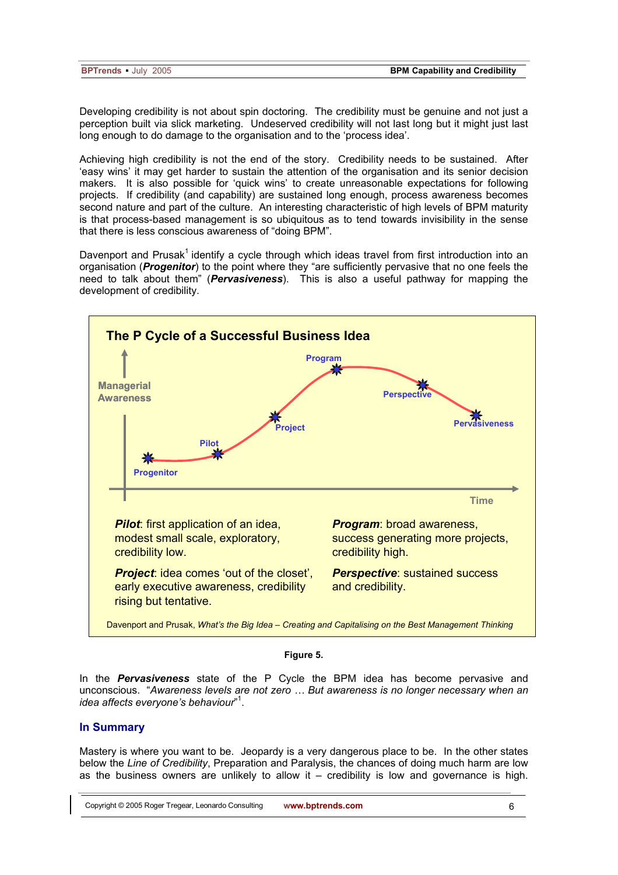| <b>BPTrends</b> July 2005 |  |
|---------------------------|--|
|---------------------------|--|

Developing credibility is not about spin doctoring. The credibility must be genuine and not just a perception built via slick marketing. Undeserved credibility will not last long but it might just last long enough to do damage to the organisation and to the 'process idea'.

Achieving high credibility is not the end of the story. Credibility needs to be sustained. After 'easy wins' it may get harder to sustain the attention of the organisation and its senior decision makers. It is also possible for 'quick wins' to create unreasonable expectations for following projects. If credibility (and capability) are sustained long enough, process awareness becomes second nature and part of the culture. An interesting characteristic of high levels of BPM maturity is that process-based management is so ubiquitous as to tend towards invisibility in the sense that there is less conscious awareness of "doing BPM".

Davenport and Prusak<sup>1</sup> identify a cycle through which ideas travel from first introduction into an organisation (*Progenitor*) to the point where they "are sufficiently pervasive that no one feels the need to talk about them" (*Pervasiveness*). This is also a useful pathway for mapping the development of credibility.



### **Figure 5.**

In the *Pervasiveness* state of the P Cycle the BPM idea has become pervasive and unconscious. "*Awareness levels are not zero … But awareness is no longer necessary when an idea affects everyone's behaviour*" 1 .

#### **In Summary**

Mastery is where you want to be. Jeopardy is a very dangerous place to be. In the other states below the *Line of Credibility*, Preparation and Paralysis, the chances of doing much harm are low as the business owners are unlikely to allow it  $-$  credibility is low and governance is high.

Copyright © 2005 Roger Tregear, Leonardo Consulting **www.bptrends.com**